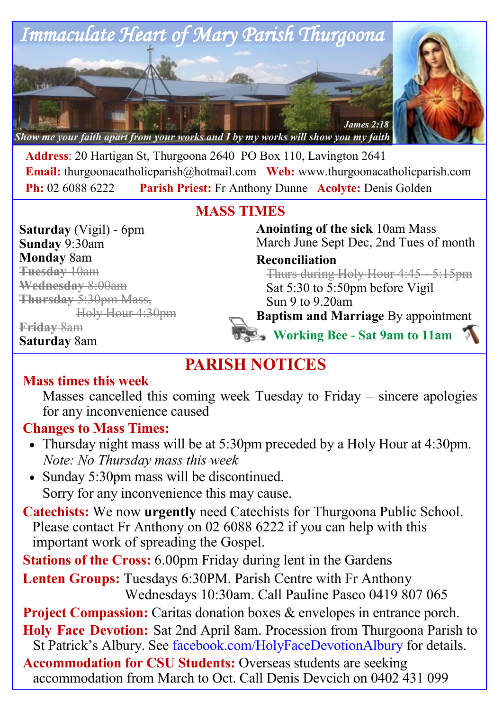

**Address**: 20 Hartigan St, Thurgoona 2640 PO Box 110, Lavington 2641 **Email:** thurgoonacatholicparish@hotmail.com **Web:** www.thurgoonacatholicparish.com **Ph:** 02 6088 6222 **Parish Priest:** Fr Anthony Dunne **Acolyte:** Denis Golden

**Saturday** (Vigil) - 6pm **Sunday** 9:30am **Monday** 8am

**Tuesday** 10am **Wednesday** 8:00am **Thursday** 5:30pm Mass, Holy Hour 4:30pm

**Friday** 8am **Saturday** 8am

# **MASS TIMES**

**Anointing of the sick** 10am Mass March June Sept Dec, 2nd Tues of month

### **Reconciliation**

Thurs during Holy Hour 4:45 - 5:15pm Sat 5:30 to 5:50pm before Vigil Sun 9 to 9.20am

**Baptism and Marriage** By appointment

**Working Bee - Sat 9am to 11am** 

# **PARISH NOTICES**

# **Mass times this week**

Masses cancelled this coming week Tuesday to Friday – sincere apologies for any inconvenience caused

# **Changes to Mass Times:**

- Thursday night mass will be at 5:30pm preceded by a Holy Hour at 4:30pm. *Note: No Thursday mass this week*
- Sunday 5:30pm mass will be discontinued. Sorry for any inconvenience this may cause.

**Catechists:** We now **urgently** need Catechists for Thurgoona Public School. Please contact Fr Anthony on 02 6088 6222 if you can help with this important work of spreading the Gospel.

**Stations of the Cross:** 6.00pm Friday during lent in the Gardens

**Lenten Groups:** Tuesdays 6:30PM. Parish Centre with Fr Anthony Wednesdays 10:30am. Call Pauline Pasco 0419 807 065

**Project Compassion:** Caritas donation boxes & envelopes in entrance porch.

**Holy Face Devotion:** Sat 2nd April 8am. Procession from Thurgoona Parish to St Patrick's Albury. See facebook.com/HolyFaceDevotionAlbury for details.

**Accommodation for CSU Students:** Overseas students are seeking accommodation from March to Oct. Call Denis Devcich on 0402 431 099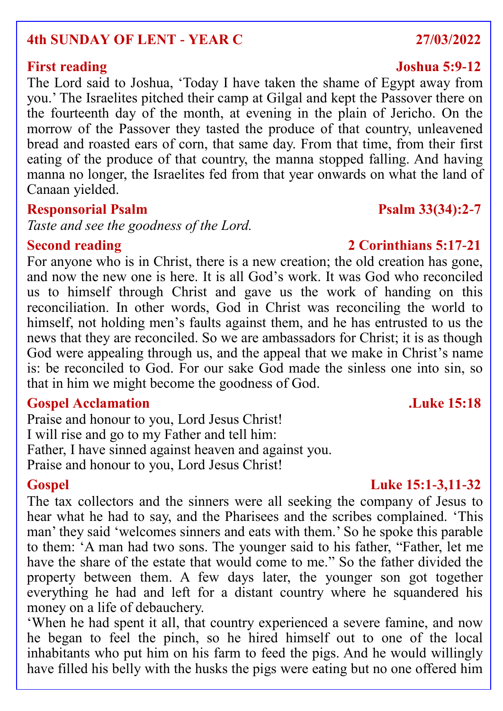### **4th SUNDAY OF LENT - YEAR C 27/03/2022**

The Lord said to Joshua, 'Today I have taken the shame of Egypt away from you.' The Israelites pitched their camp at Gilgal and kept the Passover there on the fourteenth day of the month, at evening in the plain of Jericho. On the morrow of the Passover they tasted the produce of that country, unleavened bread and roasted ears of corn, that same day. From that time, from their first eating of the produce of that country, the manna stopped falling. And having manna no longer, the Israelites fed from that year onwards on what the land of Canaan yielded.

### **Responsorial Psalm Psalm 33(34):2-7**

*Taste and see the goodness of the Lord.*

For anyone who is in Christ, there is a new creation; the old creation has gone, and now the new one is here. It is all God's work. It was God who reconciled us to himself through Christ and gave us the work of handing on this reconciliation. In other words, God in Christ was reconciling the world to himself, not holding men's faults against them, and he has entrusted to us the news that they are reconciled. So we are ambassadors for Christ; it is as though God were appealing through us, and the appeal that we make in Christ's name is: be reconciled to God. For our sake God made the sinless one into sin, so that in him we might become the goodness of God.

### **Gospel Acclamation .Luke 15:18**

Praise and honour to you, Lord Jesus Christ! I will rise and go to my Father and tell him: Father, I have sinned against heaven and against you. Praise and honour to you, Lord Jesus Christ!

### **Gospel Luke 15:1-3,11-32**

The tax collectors and the sinners were all seeking the company of Jesus to hear what he had to say, and the Pharisees and the scribes complained. 'This man' they said 'welcomes sinners and eats with them.' So he spoke this parable to them: 'A man had two sons. The younger said to his father, "Father, let me have the share of the estate that would come to me." So the father divided the property between them. A few days later, the younger son got together everything he had and left for a distant country where he squandered his money on a life of debauchery.

'When he had spent it all, that country experienced a severe famine, and now he began to feel the pinch, so he hired himself out to one of the local inhabitants who put him on his farm to feed the pigs. And he would willingly have filled his belly with the husks the pigs were eating but no one offered him

## **First reading Joshua 5:9-12**

# **Second reading 2 Corinthians 5:17-21**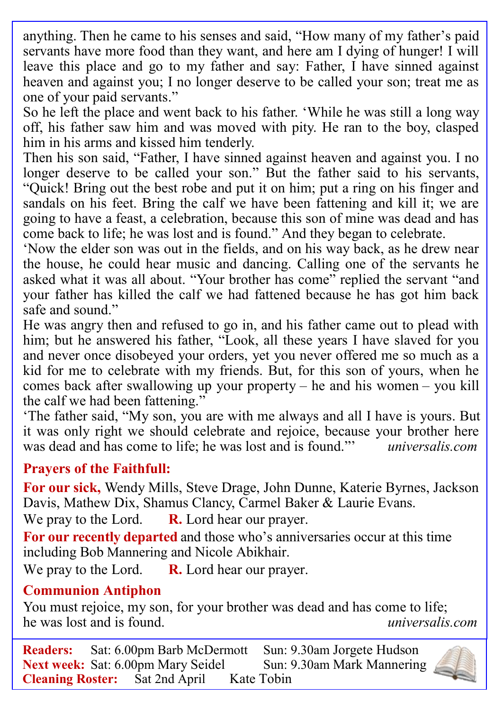anything. Then he came to his senses and said, "How many of my father's paid servants have more food than they want, and here am I dying of hunger! I will leave this place and go to my father and say: Father, I have sinned against heaven and against you; I no longer deserve to be called your son; treat me as one of your paid servants."

So he left the place and went back to his father. 'While he was still a long way off, his father saw him and was moved with pity. He ran to the boy, clasped him in his arms and kissed him tenderly.

Then his son said, "Father, I have sinned against heaven and against you. I no longer deserve to be called your son." But the father said to his servants, "Quick! Bring out the best robe and put it on him; put a ring on his finger and sandals on his feet. Bring the calf we have been fattening and kill it; we are going to have a feast, a celebration, because this son of mine was dead and has come back to life; he was lost and is found." And they began to celebrate.

'Now the elder son was out in the fields, and on his way back, as he drew near the house, he could hear music and dancing. Calling one of the servants he asked what it was all about. "Your brother has come" replied the servant "and your father has killed the calf we had fattened because he has got him back safe and sound."

He was angry then and refused to go in, and his father came out to plead with him; but he answered his father, "Look, all these years I have slaved for you and never once disobeyed your orders, yet you never offered me so much as a kid for me to celebrate with my friends. But, for this son of yours, when he comes back after swallowing up your property – he and his women – you kill the calf we had been fattening."

'The father said, "My son, you are with me always and all I have is yours. But it was only right we should celebrate and rejoice, because your brother here was dead and has come to life; he was lost and is found."' *universalis.com*

# **Prayers of the Faithfull:**

**For our sick,** Wendy Mills, Steve Drage, John Dunne, Katerie Byrnes, Jackson Davis, Mathew Dix, Shamus Clancy, Carmel Baker & Laurie Evans.

We pray to the Lord. **R.** Lord hear our prayer.

**For our recently departed** and those who's anniversaries occur at this time including Bob Mannering and Nicole Abikhair.

We pray to the Lord. **R.** Lord hear our prayer.

# **Communion Antiphon**

You must rejoice, my son, for your brother was dead and has come to life;<br>he was lost and is found. *universalis.com* he was lost and is found.

**Readers:** Sat: 6.00pm Barb McDermott Sun: 9.30am Jorgete Hudson<br>**Next week:** Sat: 6.00pm Mary Seidel Sun: 9.30am Mark Mannering **Next week:** Sat: 6.00pm Mary Seidel Sun: 9.30 Sun: 9.30 Sun: 9.3030 Sun: 9.3030 Sun: 9.3030 Sun: 9.3030 Sun: 9.30 **Cleaning Roster:**